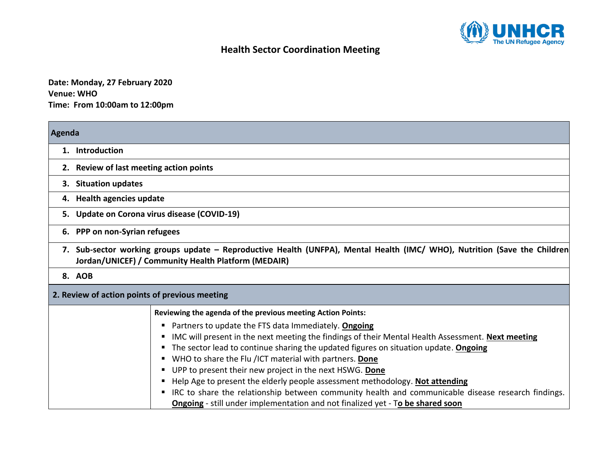

## **Health Sector Coordination Meeting**

**Date: Monday, 27 February 2020 Venue: WHO Time: From 10:00am to 12:00pm**

÷

| Agenda                                                                                                                                                                           |                                                                                                                                                                                                                                                                                                                                                                                                                                                                                                                                                                   |
|----------------------------------------------------------------------------------------------------------------------------------------------------------------------------------|-------------------------------------------------------------------------------------------------------------------------------------------------------------------------------------------------------------------------------------------------------------------------------------------------------------------------------------------------------------------------------------------------------------------------------------------------------------------------------------------------------------------------------------------------------------------|
| 1. Introduction                                                                                                                                                                  |                                                                                                                                                                                                                                                                                                                                                                                                                                                                                                                                                                   |
|                                                                                                                                                                                  | 2. Review of last meeting action points                                                                                                                                                                                                                                                                                                                                                                                                                                                                                                                           |
| <b>Situation updates</b><br>З.                                                                                                                                                   |                                                                                                                                                                                                                                                                                                                                                                                                                                                                                                                                                                   |
| 4. Health agencies update                                                                                                                                                        |                                                                                                                                                                                                                                                                                                                                                                                                                                                                                                                                                                   |
|                                                                                                                                                                                  | 5. Update on Corona virus disease (COVID-19)                                                                                                                                                                                                                                                                                                                                                                                                                                                                                                                      |
| 6. PPP on non-Syrian refugees                                                                                                                                                    |                                                                                                                                                                                                                                                                                                                                                                                                                                                                                                                                                                   |
| 7. Sub-sector working groups update – Reproductive Health (UNFPA), Mental Health (IMC/ WHO), Nutrition (Save the Children<br>Jordan/UNICEF) / Community Health Platform (MEDAIR) |                                                                                                                                                                                                                                                                                                                                                                                                                                                                                                                                                                   |
| 8. AOB                                                                                                                                                                           |                                                                                                                                                                                                                                                                                                                                                                                                                                                                                                                                                                   |
|                                                                                                                                                                                  | 2. Review of action points of previous meeting                                                                                                                                                                                                                                                                                                                                                                                                                                                                                                                    |
|                                                                                                                                                                                  | Reviewing the agenda of the previous meeting Action Points:                                                                                                                                                                                                                                                                                                                                                                                                                                                                                                       |
|                                                                                                                                                                                  | Partners to update the FTS data Immediately. Ongoing<br>IMC will present in the next meeting the findings of their Mental Health Assessment. Next meeting<br>The sector lead to continue sharing the updated figures on situation update. Ongoing<br>WHO to share the Flu /ICT material with partners. Done<br>UPP to present their new project in the next HSWG. Done<br>п<br>Help Age to present the elderly people assessment methodology. Not attending<br>IRC to share the relationship between community health and communicable disease research findings. |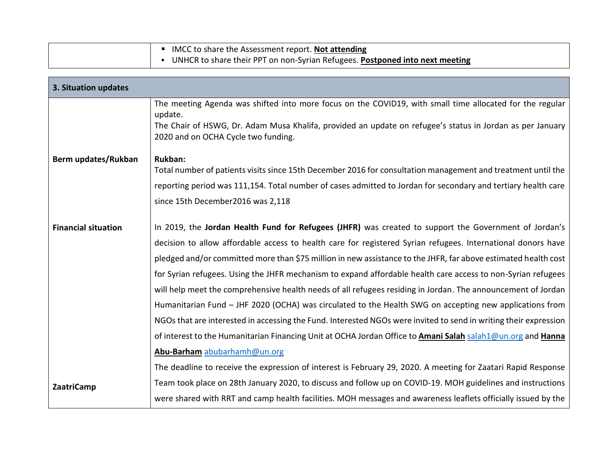| IMCC to share the Assessment report. Not attending                           |
|------------------------------------------------------------------------------|
| UNHCR to share their PPT on non-Syrian Refugees. Postponed into next meeting |

| 3. Situation updates       |                                                                                                                                                  |
|----------------------------|--------------------------------------------------------------------------------------------------------------------------------------------------|
|                            | The meeting Agenda was shifted into more focus on the COVID19, with small time allocated for the regular<br>update.                              |
|                            | The Chair of HSWG, Dr. Adam Musa Khalifa, provided an update on refugee's status in Jordan as per January<br>2020 and on OCHA Cycle two funding. |
| Berm updates/Rukban        | <b>Rukban:</b>                                                                                                                                   |
|                            | Total number of patients visits since 15th December 2016 for consultation management and treatment until the                                     |
|                            | reporting period was 111,154. Total number of cases admitted to Jordan for secondary and tertiary health care                                    |
|                            | since 15th December2016 was 2,118                                                                                                                |
| <b>Financial situation</b> | In 2019, the Jordan Health Fund for Refugees (JHFR) was created to support the Government of Jordan's                                            |
|                            | decision to allow affordable access to health care for registered Syrian refugees. International donors have                                     |
|                            | pledged and/or committed more than \$75 million in new assistance to the JHFR, far above estimated health cost                                   |
|                            | for Syrian refugees. Using the JHFR mechanism to expand affordable health care access to non-Syrian refugees                                     |
|                            | will help meet the comprehensive health needs of all refugees residing in Jordan. The announcement of Jordan                                     |
|                            | Humanitarian Fund - JHF 2020 (OCHA) was circulated to the Health SWG on accepting new applications from                                          |
|                            | NGOs that are interested in accessing the Fund. Interested NGOs were invited to send in writing their expression                                 |
|                            | of interest to the Humanitarian Financing Unit at OCHA Jordan Office to Amani Salah salah1@un.org and Hanna                                      |
|                            | Abu-Barham abubarhamh@un.org                                                                                                                     |
|                            | The deadline to receive the expression of interest is February 29, 2020. A meeting for Zaatari Rapid Response                                    |
| <b>ZaatriCamp</b>          | Team took place on 28th January 2020, to discuss and follow up on COVID-19. MOH guidelines and instructions                                      |
|                            | were shared with RRT and camp health facilities. MOH messages and awareness leaflets officially issued by the                                    |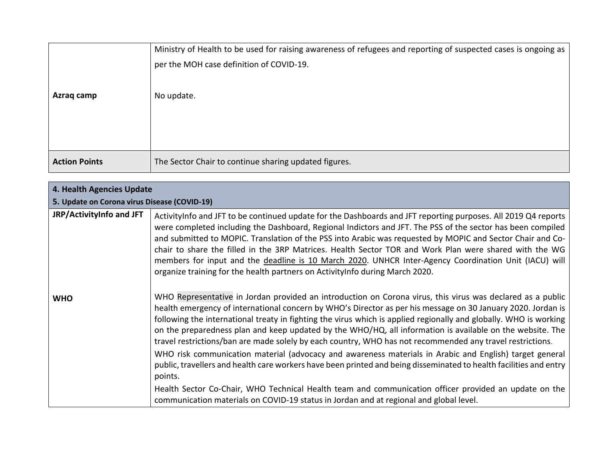|                      | Ministry of Health to be used for raising awareness of refugees and reporting of suspected cases is ongoing as |
|----------------------|----------------------------------------------------------------------------------------------------------------|
|                      | per the MOH case definition of COVID-19.                                                                       |
|                      |                                                                                                                |
| Azraq camp           | No update.                                                                                                     |
|                      |                                                                                                                |
|                      |                                                                                                                |
|                      |                                                                                                                |
| <b>Action Points</b> | The Sector Chair to continue sharing updated figures.                                                          |

| 4. Health Agencies Update                    |                                                                                                                                                                                                                                                                                                                                                                                                                                                                                                                                                                                                                                                                                                                                                                                                                                                                                                                                                                                                                          |
|----------------------------------------------|--------------------------------------------------------------------------------------------------------------------------------------------------------------------------------------------------------------------------------------------------------------------------------------------------------------------------------------------------------------------------------------------------------------------------------------------------------------------------------------------------------------------------------------------------------------------------------------------------------------------------------------------------------------------------------------------------------------------------------------------------------------------------------------------------------------------------------------------------------------------------------------------------------------------------------------------------------------------------------------------------------------------------|
| 5. Update on Corona virus Disease (COVID-19) |                                                                                                                                                                                                                                                                                                                                                                                                                                                                                                                                                                                                                                                                                                                                                                                                                                                                                                                                                                                                                          |
| JRP/ActivityInfo and JFT                     | ActivityInfo and JFT to be continued update for the Dashboards and JFT reporting purposes. All 2019 Q4 reports<br>were completed including the Dashboard, Regional Indictors and JFT. The PSS of the sector has been compiled<br>and submitted to MOPIC. Translation of the PSS into Arabic was requested by MOPIC and Sector Chair and Co-<br>chair to share the filled in the 3RP Matrices. Health Sector TOR and Work Plan were shared with the WG<br>members for input and the deadline is 10 March 2020. UNHCR Inter-Agency Coordination Unit (IACU) will<br>organize training for the health partners on ActivityInfo during March 2020.                                                                                                                                                                                                                                                                                                                                                                           |
| <b>WHO</b>                                   | WHO Representative in Jordan provided an introduction on Corona virus, this virus was declared as a public<br>health emergency of international concern by WHO's Director as per his message on 30 January 2020. Jordan is<br>following the international treaty in fighting the virus which is applied regionally and globally. WHO is working<br>on the preparedness plan and keep updated by the WHO/HQ, all information is available on the website. The<br>travel restrictions/ban are made solely by each country, WHO has not recommended any travel restrictions.<br>WHO risk communication material (advocacy and awareness materials in Arabic and English) target general<br>public, travellers and health care workers have been printed and being disseminated to health facilities and entry<br>points.<br>Health Sector Co-Chair, WHO Technical Health team and communication officer provided an update on the<br>communication materials on COVID-19 status in Jordan and at regional and global level. |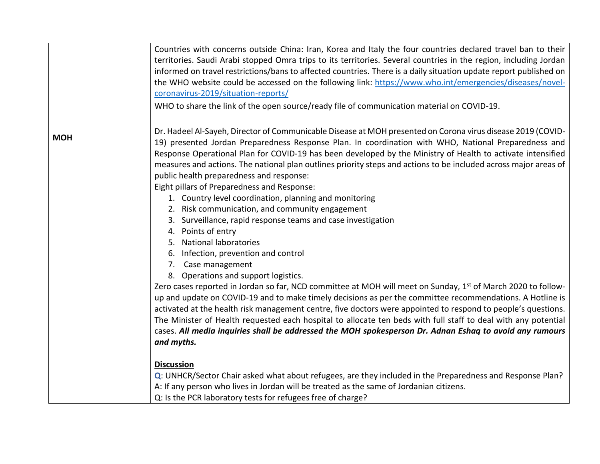|            | Countries with concerns outside China: Iran, Korea and Italy the four countries declared travel ban to their                                                                                                                                                                                                                                                                                                                                                                                                                                                                                                                                                   |
|------------|----------------------------------------------------------------------------------------------------------------------------------------------------------------------------------------------------------------------------------------------------------------------------------------------------------------------------------------------------------------------------------------------------------------------------------------------------------------------------------------------------------------------------------------------------------------------------------------------------------------------------------------------------------------|
|            | territories. Saudi Arabi stopped Omra trips to its territories. Several countries in the region, including Jordan                                                                                                                                                                                                                                                                                                                                                                                                                                                                                                                                              |
|            | informed on travel restrictions/bans to affected countries. There is a daily situation update report published on                                                                                                                                                                                                                                                                                                                                                                                                                                                                                                                                              |
|            | the WHO website could be accessed on the following link: https://www.who.int/emergencies/diseases/novel-                                                                                                                                                                                                                                                                                                                                                                                                                                                                                                                                                       |
|            | coronavirus-2019/situation-reports/                                                                                                                                                                                                                                                                                                                                                                                                                                                                                                                                                                                                                            |
|            | WHO to share the link of the open source/ready file of communication material on COVID-19.                                                                                                                                                                                                                                                                                                                                                                                                                                                                                                                                                                     |
| <b>MOH</b> | Dr. Hadeel Al-Sayeh, Director of Communicable Disease at MOH presented on Corona virus disease 2019 (COVID-<br>19) presented Jordan Preparedness Response Plan. In coordination with WHO, National Preparedness and<br>Response Operational Plan for COVID-19 has been developed by the Ministry of Health to activate intensified<br>measures and actions. The national plan outlines priority steps and actions to be included across major areas of<br>public health preparedness and response:<br>Eight pillars of Preparedness and Response:<br>1. Country level coordination, planning and monitoring<br>2. Risk communication, and community engagement |
|            | 3. Surveillance, rapid response teams and case investigation                                                                                                                                                                                                                                                                                                                                                                                                                                                                                                                                                                                                   |
|            | 4. Points of entry                                                                                                                                                                                                                                                                                                                                                                                                                                                                                                                                                                                                                                             |
|            | 5. National laboratories                                                                                                                                                                                                                                                                                                                                                                                                                                                                                                                                                                                                                                       |
|            | 6. Infection, prevention and control                                                                                                                                                                                                                                                                                                                                                                                                                                                                                                                                                                                                                           |
|            | 7. Case management                                                                                                                                                                                                                                                                                                                                                                                                                                                                                                                                                                                                                                             |
|            | 8. Operations and support logistics.<br>Zero cases reported in Jordan so far, NCD committee at MOH will meet on Sunday, 1 <sup>st</sup> of March 2020 to follow-<br>up and update on COVID-19 and to make timely decisions as per the committee recommendations. A Hotline is<br>activated at the health risk management centre, five doctors were appointed to respond to people's questions.<br>The Minister of Health requested each hospital to allocate ten beds with full staff to deal with any potential<br>cases. All media inquiries shall be addressed the MOH spokesperson Dr. Adnan Eshaq to avoid any rumours<br>and myths.                      |
|            | <b>Discussion</b><br>Q: UNHCR/Sector Chair asked what about refugees, are they included in the Preparedness and Response Plan?<br>A: If any person who lives in Jordan will be treated as the same of Jordanian citizens.<br>Q: Is the PCR laboratory tests for refugees free of charge?                                                                                                                                                                                                                                                                                                                                                                       |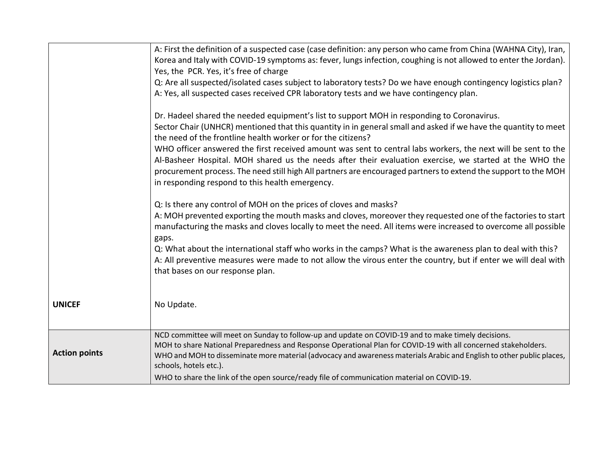|                      | A: First the definition of a suspected case (case definition: any person who came from China (WAHNA City), Iran,                                                                |
|----------------------|---------------------------------------------------------------------------------------------------------------------------------------------------------------------------------|
|                      | Korea and Italy with COVID-19 symptoms as: fever, lungs infection, coughing is not allowed to enter the Jordan).                                                                |
|                      | Yes, the PCR. Yes, it's free of charge                                                                                                                                          |
|                      | Q: Are all suspected/isolated cases subject to laboratory tests? Do we have enough contingency logistics plan?                                                                  |
|                      | A: Yes, all suspected cases received CPR laboratory tests and we have contingency plan.                                                                                         |
|                      |                                                                                                                                                                                 |
|                      | Dr. Hadeel shared the needed equipment's list to support MOH in responding to Coronavirus.                                                                                      |
|                      | Sector Chair (UNHCR) mentioned that this quantity in in general small and asked if we have the quantity to meet<br>the need of the frontline health worker or for the citizens? |
|                      | WHO officer answered the first received amount was sent to central labs workers, the next will be sent to the                                                                   |
|                      | Al-Basheer Hospital. MOH shared us the needs after their evaluation exercise, we started at the WHO the                                                                         |
|                      | procurement process. The need still high All partners are encouraged partners to extend the support to the MOH                                                                  |
|                      | in responding respond to this health emergency.                                                                                                                                 |
|                      |                                                                                                                                                                                 |
|                      | Q: Is there any control of MOH on the prices of cloves and masks?                                                                                                               |
|                      | A: MOH prevented exporting the mouth masks and cloves, moreover they requested one of the factories to start                                                                    |
|                      | manufacturing the masks and cloves locally to meet the need. All items were increased to overcome all possible                                                                  |
|                      | gaps.                                                                                                                                                                           |
|                      | Q: What about the international staff who works in the camps? What is the awareness plan to deal with this?                                                                     |
|                      | A: All preventive measures were made to not allow the virous enter the country, but if enter we will deal with                                                                  |
|                      | that bases on our response plan.                                                                                                                                                |
|                      |                                                                                                                                                                                 |
|                      |                                                                                                                                                                                 |
| <b>UNICEF</b>        | No Update.                                                                                                                                                                      |
|                      |                                                                                                                                                                                 |
|                      | NCD committee will meet on Sunday to follow-up and update on COVID-19 and to make timely decisions.                                                                             |
|                      | MOH to share National Preparedness and Response Operational Plan for COVID-19 with all concerned stakeholders.                                                                  |
| <b>Action points</b> | WHO and MOH to disseminate more material (advocacy and awareness materials Arabic and English to other public places,                                                           |
|                      | schools, hotels etc.).                                                                                                                                                          |
|                      | WHO to share the link of the open source/ready file of communication material on COVID-19.                                                                                      |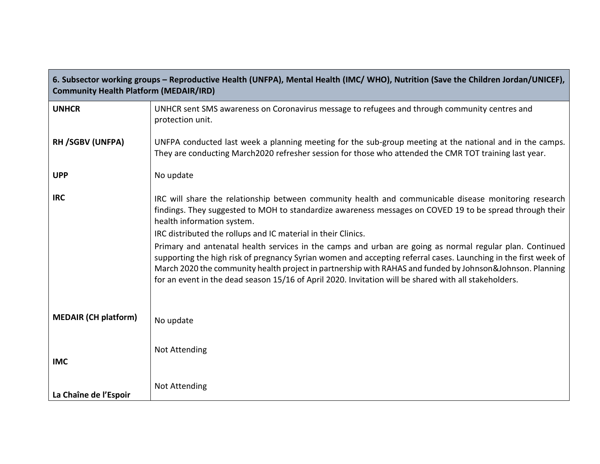| 6. Subsector working groups – Reproductive Health (UNFPA), Mental Health (IMC/WHO), Nutrition (Save the Children Jordan/UNICEF),<br><b>Community Health Platform (MEDAIR/IRD)</b> |                                                                                                                                                                                                                                                                                                                                                                                                                                                                                                                                                                                                                                                                                                                                                                       |
|-----------------------------------------------------------------------------------------------------------------------------------------------------------------------------------|-----------------------------------------------------------------------------------------------------------------------------------------------------------------------------------------------------------------------------------------------------------------------------------------------------------------------------------------------------------------------------------------------------------------------------------------------------------------------------------------------------------------------------------------------------------------------------------------------------------------------------------------------------------------------------------------------------------------------------------------------------------------------|
| <b>UNHCR</b>                                                                                                                                                                      | UNHCR sent SMS awareness on Coronavirus message to refugees and through community centres and<br>protection unit.                                                                                                                                                                                                                                                                                                                                                                                                                                                                                                                                                                                                                                                     |
| RH /SGBV (UNFPA)                                                                                                                                                                  | UNFPA conducted last week a planning meeting for the sub-group meeting at the national and in the camps.<br>They are conducting March2020 refresher session for those who attended the CMR TOT training last year.                                                                                                                                                                                                                                                                                                                                                                                                                                                                                                                                                    |
| <b>UPP</b>                                                                                                                                                                        | No update                                                                                                                                                                                                                                                                                                                                                                                                                                                                                                                                                                                                                                                                                                                                                             |
| <b>IRC</b>                                                                                                                                                                        | IRC will share the relationship between community health and communicable disease monitoring research<br>findings. They suggested to MOH to standardize awareness messages on COVED 19 to be spread through their<br>health information system.<br>IRC distributed the rollups and IC material in their Clinics.<br>Primary and antenatal health services in the camps and urban are going as normal regular plan. Continued<br>supporting the high risk of pregnancy Syrian women and accepting referral cases. Launching in the first week of<br>March 2020 the community health project in partnership with RAHAS and funded by Johnson&Johnson. Planning<br>for an event in the dead season 15/16 of April 2020. Invitation will be shared with all stakeholders. |
| <b>MEDAIR (CH platform)</b>                                                                                                                                                       | No update                                                                                                                                                                                                                                                                                                                                                                                                                                                                                                                                                                                                                                                                                                                                                             |
| <b>IMC</b>                                                                                                                                                                        | <b>Not Attending</b>                                                                                                                                                                                                                                                                                                                                                                                                                                                                                                                                                                                                                                                                                                                                                  |
| La Chaîne de l'Espoir                                                                                                                                                             | <b>Not Attending</b>                                                                                                                                                                                                                                                                                                                                                                                                                                                                                                                                                                                                                                                                                                                                                  |